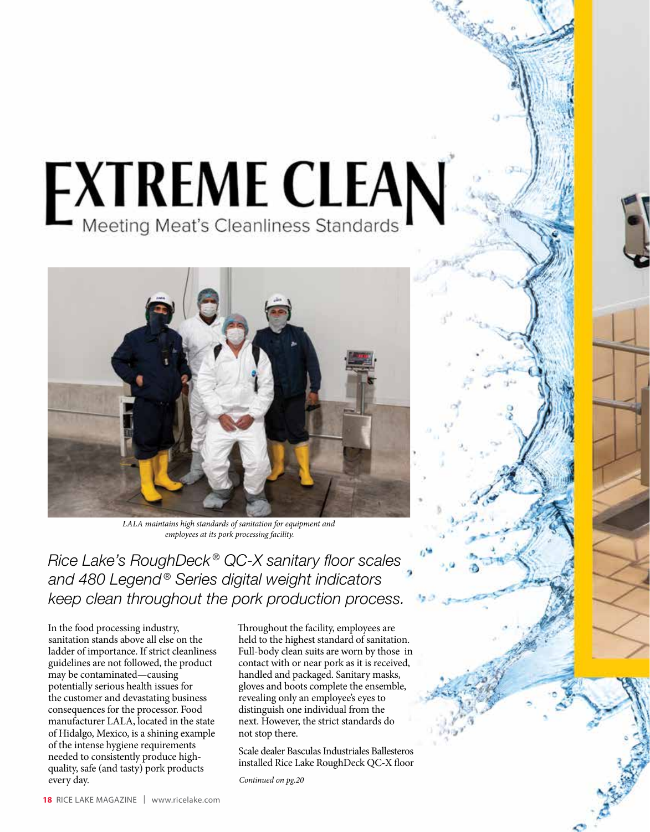## **EXTREME CLEAN**



*LALA maintains high standards of sanitation for equipment and employees at its pork processing facility.*

*Rice Lake's RoughDeck ® QC-X sanitary floor scales and 480 Legend ® Series digital weight indicators keep clean throughout the pork production process.*

In the food processing industry, sanitation stands above all else on the ladder of importance. If strict cleanliness guidelines are not followed, the product may be contaminated—causing potentially serious health issues for the customer and devastating business consequences for the processor. Food manufacturer LALA, located in the state of Hidalgo, Mexico, is a shining example of the intense hygiene requirements needed to consistently produce highquality, safe (and tasty) pork products every day.

Throughout the facility, employees are held to the highest standard of sanitation. Full-body clean suits are worn by those in contact with or near pork as it is received, handled and packaged. Sanitary masks, gloves and boots complete the ensemble, revealing only an employee's eyes to distinguish one individual from the next. However, the strict standards do not stop there.

Scale dealer Basculas Industriales Ballesteros installed Rice Lake RoughDeck QC-X floor

*Continued on pg.20*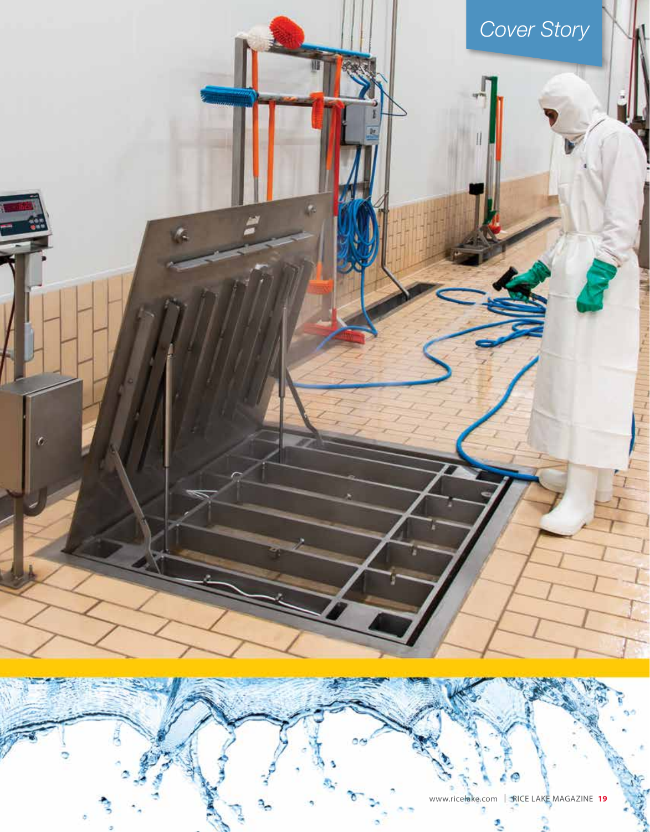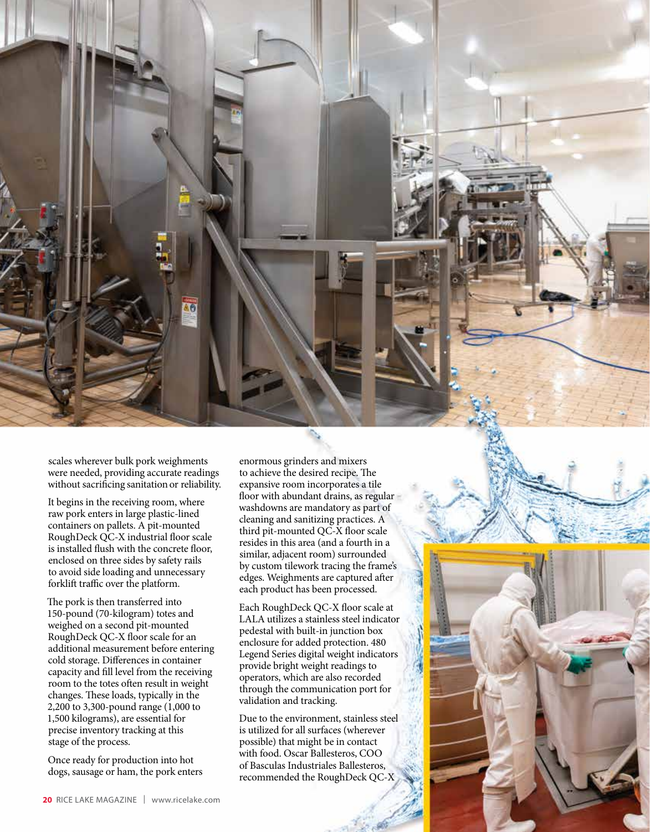scales wherever bulk pork weighments were needed, providing accurate readings without sacrificing sanitation or reliability.

It begins in the receiving room, where raw pork enters in large plastic-lined containers on pallets. A pit-mounted RoughDeck QC-X industrial floor scale is installed flush with the concrete floor, enclosed on three sides by safety rails to avoid side loading and unnecessary forklift traffic over the platform.

The pork is then transferred into 150-pound (70-kilogram) totes and weighed on a second pit-mounted RoughDeck QC-X floor scale for an additional measurement before entering cold storage. Differences in container capacity and fill level from the receiving room to the totes often result in weight changes. These loads, typically in the 2,200 to 3,300-pound range (1,000 to 1,500 kilograms), are essential for precise inventory tracking at this stage of the process.

Once ready for production into hot dogs, sausage or ham, the pork enters

enormous grinders and mixers to achieve the desired recipe. The expansive room incorporates a tile floor with abundant drains, as regular washdowns are mandatory as part of cleaning and sanitizing practices. A third pit-mounted QC-X floor scale resides in this area (and a fourth in a similar, adjacent room) surrounded by custom tilework tracing the frame's edges. Weighments are captured after each product has been processed.

Each RoughDeck QC-X floor scale at LALA utilizes a stainless steel indicator pedestal with built-in junction box enclosure for added protection. 480 Legend Series digital weight indicators provide bright weight readings to operators, which are also recorded through the communication port for validation and tracking.

Due to the environment, stainless steel is utilized for all surfaces (wherever possible) that might be in contact with food. Oscar Ballesteros, COO of Basculas Industriales Ballesteros, recommended the RoughDeck QC-X